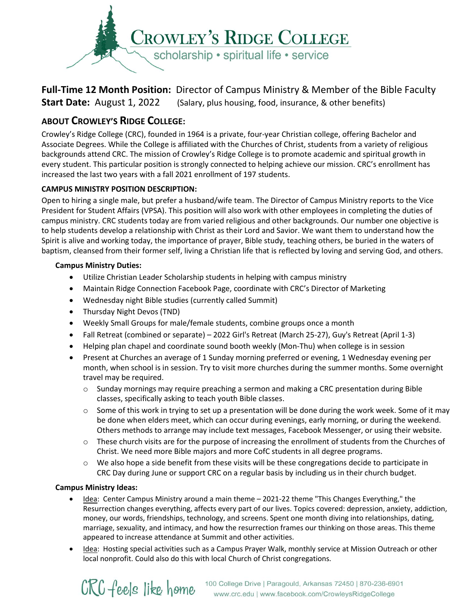

# **Full-Time 12 Month Position:** Director of Campus Ministry & Member of the Bible Faculty **Start Date:** August 1, 2022 (Salary, plus housing, food, insurance, & other benefits)

## **ABOUT CROWLEY'S RIDGE COLLEGE:**

Crowley's Ridge College (CRC), founded in 1964 is a private, four-year Christian college, offering Bachelor and Associate Degrees. While the College is affiliated with the Churches of Christ, students from a variety of religious backgrounds attend CRC. The mission of Crowley's Ridge College is to promote academic and spiritual growth in every student. This particular position is strongly connected to helping achieve our mission. CRC's enrollment has increased the last two years with a fall 2021 enrollment of 197 students.

## **CAMPUS MINISTRY POSITION DESCRIPTION:**

Open to hiring a single male, but prefer a husband/wife team. The Director of Campus Ministry reports to the Vice President for Student Affairs (VPSA). This position will also work with other employees in completing the duties of campus ministry. CRC students today are from varied religious and other backgrounds. Our number one objective is to help students develop a relationship with Christ as their Lord and Savior. We want them to understand how the Spirit is alive and working today, the importance of prayer, Bible study, teaching others, be buried in the waters of baptism, cleansed from their former self, living a Christian life that is reflected by loving and serving God, and others.

### **Campus Ministry Duties:**

- Utilize Christian Leader Scholarship students in helping with campus ministry
- Maintain Ridge Connection Facebook Page, coordinate with CRC's Director of Marketing
- Wednesday night Bible studies (currently called Summit)
- Thursday Night Devos (TND)
- Weekly Small Groups for male/female students, combine groups once a month
- Fall Retreat (combined or separate) 2022 Girl's Retreat (March 25-27), Guy's Retreat (April 1-3)
- Helping plan chapel and coordinate sound booth weekly (Mon-Thu) when college is in session
- Present at Churches an average of 1 Sunday morning preferred or evening, 1 Wednesday evening per month, when school is in session. Try to visit more churches during the summer months. Some overnight travel may be required.
	- o Sunday mornings may require preaching a sermon and making a CRC presentation during Bible classes, specifically asking to teach youth Bible classes.
	- $\circ$  Some of this work in trying to set up a presentation will be done during the work week. Some of it may be done when elders meet, which can occur during evenings, early morning, or during the weekend. Others methods to arrange may include text messages, Facebook Messenger, or using their website.
	- $\circ$  These church visits are for the purpose of increasing the enrollment of students from the Churches of Christ. We need more Bible majors and more CofC students in all degree programs.
	- $\circ$  We also hope a side benefit from these visits will be these congregations decide to participate in CRC Day during June or support CRC on a regular basis by including us in their church budget.

### **Campus Ministry Ideas:**

- Idea: Center Campus Ministry around a main theme 2021-22 theme "This Changes Everything," the Resurrection changes everything, affects every part of our lives. Topics covered: depression, anxiety, addiction, money, our words, friendships, technology, and screens. Spent one month diving into relationships, dating, marriage, sexuality, and intimacy, and how the resurrection frames our thinking on those areas. This theme appeared to increase attendance at Summit and other activities.
- Idea: Hosting special activities such as a Campus Prayer Walk, monthly service at Mission Outreach or other local nonprofit. Could also do this with local Church of Christ congregations.